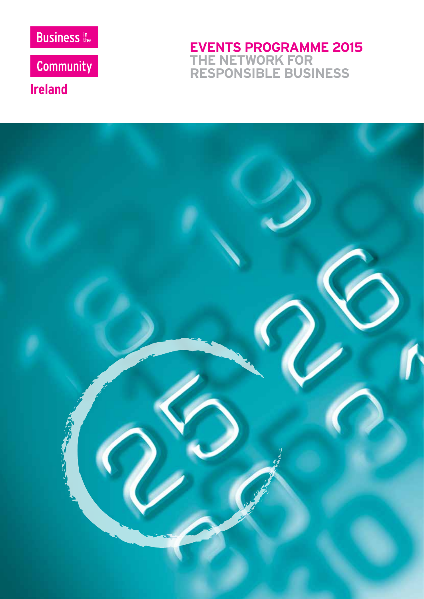

Community

**Ireland** 

**EVENTS PROGRAMME 2015 THE NETWORK FOR RESPONSIBLE BUSINESS**

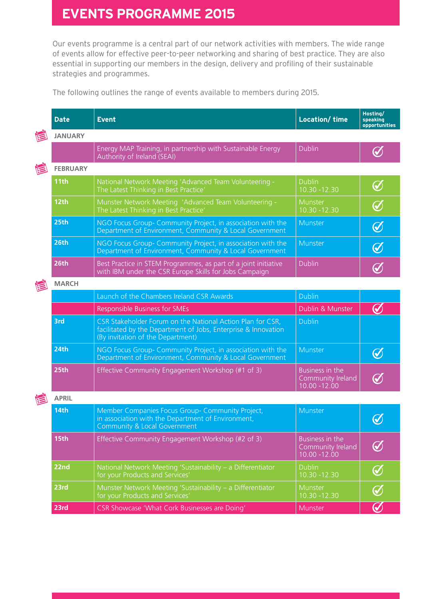# **EVENTS PROGRAMME 2015**

Our events programme is a central part of our network activities with members. The wide range of events allow for effective peer-to-peer networking and sharing of best practice. They are also essential in supporting our members in the design, delivery and profiling of their sustainable strategies and programmes.

The following outlines the range of events available to members during 2015.

|   | <b>Date</b>      | <b>Event</b>                                                                                                                                                      | <b>Location/time</b>                                    | Hosting/<br>speaking<br>opportunities |
|---|------------------|-------------------------------------------------------------------------------------------------------------------------------------------------------------------|---------------------------------------------------------|---------------------------------------|
|   | <b>JANUARY</b>   |                                                                                                                                                                   |                                                         |                                       |
|   |                  | Energy MAP Training, in partnership with Sustainable Energy<br>Authority of Ireland (SEAI)                                                                        | <b>Dublin</b>                                           | $\bigcirc$                            |
| E | <b>FEBRUARY</b>  |                                                                                                                                                                   |                                                         |                                       |
|   | 11th             | National Network Meeting 'Advanced Team Volunteering -<br>The Latest Thinking in Best Practice'                                                                   | <b>Dublin</b><br>10.30 - 12.30                          | $\bigcirc$                            |
|   | 12 <sub>th</sub> | Munster Network Meeting 'Advanced Team Volunteering -<br>The Latest Thinking in Best Practice'                                                                    | Munster<br>$10.30 - 12.30$                              | $\bigcirc$                            |
|   | 25th             | NGO Focus Group- Community Project, in association with the<br>Department of Environment, Community & Local Government                                            | Munster                                                 | $\bigcirc$                            |
|   | 26th             | NGO Focus Group- Community Project, in association with the<br>Department of Environment, Community & Local Government                                            | Munster                                                 | $\bigcirc$                            |
|   | 26th             | Best Practice in STEM Programmes, as part of a joint initiative<br>with IBM under the CSR Europe Skills for Jobs Campaign                                         | <b>Dublin</b>                                           | $\bm{\mathcal{U}}$                    |
|   | <b>MARCH</b>     |                                                                                                                                                                   |                                                         |                                       |
|   |                  | Launch of the Chambers Ireland CSR Awards                                                                                                                         | <b>Dublin</b>                                           |                                       |
|   |                  | <b>Responsible Business for SMEs</b>                                                                                                                              | Dublin & Munster                                        | $\bm{\mathcal{C}}$                    |
|   | 3rd              | CSR Stakeholder Forum on the National Action Plan for CSR,<br>facilitated by the Department of Jobs, Enterprise & Innovation<br>(By invitation of the Department) | <b>Dublin</b>                                           |                                       |
|   | 24th             | NGO Focus Group- Community Project, in association with the<br>Department of Environment, Community & Local Government                                            | Munster                                                 | $\bigcirc$                            |
|   | 25th             | Effective Community Engagement Workshop (#1 of 3)                                                                                                                 | Business in the<br>Community Ireland<br>10.00 - 12.00   | $\boldsymbol{\mathcal{U}}$            |
|   | <b>APRIL</b>     |                                                                                                                                                                   |                                                         |                                       |
|   | <b>14th</b>      | Member Companies Focus Group- Community Project,<br>in association with the Department of Environment,<br>Community & Local Government                            | Munster                                                 | $\bm{\mathcal{U}}$                    |
|   | 15th             | Effective Community Engagement Workshop (#2 of 3)                                                                                                                 | Business in the<br>Community Ireland<br>$10.00 - 12.00$ | $\bigcirc$                            |
|   | 22nd             | National Network Meeting 'Sustainability - a Differentiator<br>for your Products and Services'                                                                    | <b>Dublin</b><br>10.30 - 12.30                          | $\bigcirc$                            |
|   | 23rd             | Munster Network Meeting 'Sustainability - a Differentiator<br>for your Products and Services'                                                                     | Munster<br>10.30 - 12.30                                | $\bigcirc$                            |
|   | 23rd             | <b>CSR Showcase 'What Cork Businesses are Doing'</b>                                                                                                              | Munster                                                 | $\bigcirc$                            |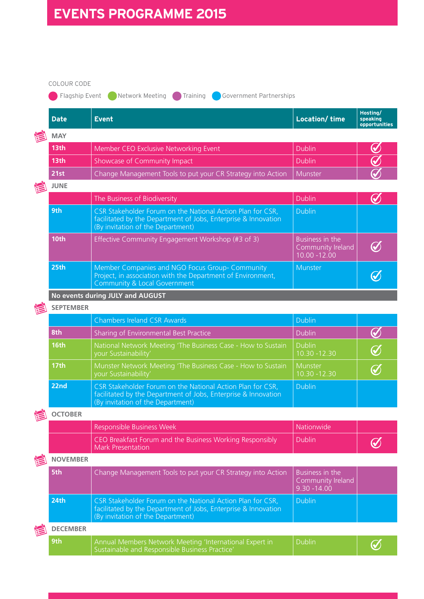### COLOUR CODE

**C** Flagship Event **C** Network Meeting Training Government Partnerships

|  | <b>Date</b>                      | <b>Event</b>                                                                                                                                                      | <b>Location/time</b>                                    | Hosting/<br>speaking<br>opportunities |  |  |
|--|----------------------------------|-------------------------------------------------------------------------------------------------------------------------------------------------------------------|---------------------------------------------------------|---------------------------------------|--|--|
|  | <b>MAY</b>                       |                                                                                                                                                                   |                                                         |                                       |  |  |
|  | 13th                             | Member CEO Exclusive Networking Event                                                                                                                             | <b>Dublin</b>                                           | ✔                                     |  |  |
|  | 13 <sub>th</sub>                 | Showcase of Community Impact                                                                                                                                      | <b>Dublin</b>                                           | ✓                                     |  |  |
|  | 21st                             | Change Management Tools to put your CR Strategy into Action                                                                                                       | Munster                                                 |                                       |  |  |
|  | <b>JUNE</b>                      |                                                                                                                                                                   |                                                         |                                       |  |  |
|  |                                  | The Business of Biodiversity                                                                                                                                      | <b>Dublin</b>                                           | $\bm{\mathcal{U}}$                    |  |  |
|  | 9th                              | CSR Stakeholder Forum on the National Action Plan for CSR,<br>facilitated by the Department of Jobs, Enterprise & Innovation<br>(By invitation of the Department) | <b>Dublin</b>                                           |                                       |  |  |
|  | 10th                             | Effective Community Engagement Workshop (#3 of 3)                                                                                                                 | Business in the<br>Community Ireland<br>$10.00 - 12.00$ | $\bigcirc$                            |  |  |
|  | 25th                             | Member Companies and NGO Focus Group- Community<br>Project, in association with the Department of Environment,<br><b>Community &amp; Local Government</b>         | Munster                                                 | $\bm{\mathcal{U}}$                    |  |  |
|  | No events during JULY and AUGUST |                                                                                                                                                                   |                                                         |                                       |  |  |
|  | <b>SEPTEMBER</b>                 |                                                                                                                                                                   |                                                         |                                       |  |  |
|  |                                  | <b>Chambers Ireland CSR Awards</b>                                                                                                                                | <b>Dublin</b>                                           |                                       |  |  |
|  | 8th                              | Sharing of Environmental Best Practice                                                                                                                            | <b>Dublin</b>                                           |                                       |  |  |
|  | <b>16th</b>                      | National Network Meeting 'The Business Case - How to Sustain<br>your Sustainability'                                                                              | <b>Dublin</b><br>10.30 - 12.30                          | $\bm{C}$                              |  |  |
|  | <b>17th</b>                      | Munster Network Meeting 'The Business Case - How to Sustain<br>your Sustainability                                                                                | Munster<br>10.30 - 12.30                                | $\bigcirc$                            |  |  |
|  | 22nd                             | CSR Stakeholder Forum on the National Action Plan for CSR,<br>facilitated by the Department of Jobs, Enterprise & Innovation<br>(By invitation of the Department) | <b>Dublin</b>                                           |                                       |  |  |
|  | <b>OCTOBER</b>                   |                                                                                                                                                                   |                                                         |                                       |  |  |
|  |                                  | Responsible Business Week                                                                                                                                         | Nationwide                                              |                                       |  |  |
|  |                                  | CEO Breakfast Forum and the Business Working Responsibly<br>Mark Presentation                                                                                     | <b>Dublin</b>                                           |                                       |  |  |
|  | <b>NOVEMBER</b>                  |                                                                                                                                                                   |                                                         |                                       |  |  |
|  | 5th                              | Change Management Tools to put your CR Strategy into Action                                                                                                       | Business in the<br>Community Ireland<br>$9.30 - 14.00$  |                                       |  |  |
|  | 24th                             | CSR Stakeholder Forum on the National Action Plan for CSR,<br>facilitated by the Department of Jobs, Enterprise & Innovation<br>(By invitation of the Department) | <b>Dublin</b>                                           |                                       |  |  |
|  | <b>DECEMBER</b>                  |                                                                                                                                                                   |                                                         |                                       |  |  |
|  | 9th                              | Annual Members Network Meeting 'International Expert in<br>Sustainable and Responsible Business Practice'                                                         | <b>Dublin</b>                                           |                                       |  |  |